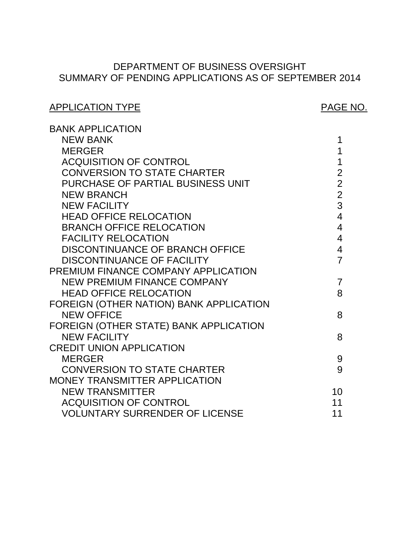# SUMMARY OF PENDING APPLICATIONS AS OF SEPTEMBER 2014 DEPARTMENT OF BUSINESS OVERSIGHT

# APPLICATION TYPE APPLICATION TYPE

| <b>BANK APPLICATION</b>                 |                |
|-----------------------------------------|----------------|
| <b>NEW BANK</b>                         | 1              |
| <b>MERGER</b>                           | 1              |
| <b>ACQUISITION OF CONTROL</b>           | 1              |
| <b>CONVERSION TO STATE CHARTER</b>      | $\overline{2}$ |
| PURCHASE OF PARTIAL BUSINESS UNIT       | $\overline{2}$ |
| <b>NEW BRANCH</b>                       | $\overline{2}$ |
| <b>NEW FACILITY</b>                     | 3              |
| <b>HEAD OFFICE RELOCATION</b>           | $\overline{4}$ |
| <b>BRANCH OFFICE RELOCATION</b>         | $\overline{4}$ |
| <b>FACILITY RELOCATION</b>              | $\overline{4}$ |
| <b>DISCONTINUANCE OF BRANCH OFFICE</b>  | $\overline{4}$ |
| <b>DISCONTINUANCE OF FACILITY</b>       | $\overline{7}$ |
| PREMIUM FINANCE COMPANY APPLICATION     |                |
| NEW PREMIUM FINANCE COMPANY             | $\overline{7}$ |
| <b>HEAD OFFICE RELOCATION</b>           | 8              |
| FOREIGN (OTHER NATION) BANK APPLICATION |                |
| <b>NEW OFFICE</b>                       | 8              |
| FOREIGN (OTHER STATE) BANK APPLICATION  |                |
| <b>NEW FACILITY</b>                     | 8              |
| <b>CREDIT UNION APPLICATION</b>         |                |
| <b>MERGER</b>                           | 9              |
| <b>CONVERSION TO STATE CHARTER</b>      | 9              |
| <b>MONEY TRANSMITTER APPLICATION</b>    |                |
| <b>NEW TRANSMITTER</b>                  | 10             |
| <b>ACQUISITION OF CONTROL</b>           | 11             |
| <b>VOLUNTARY SURRENDER OF LICENSE</b>   | 11             |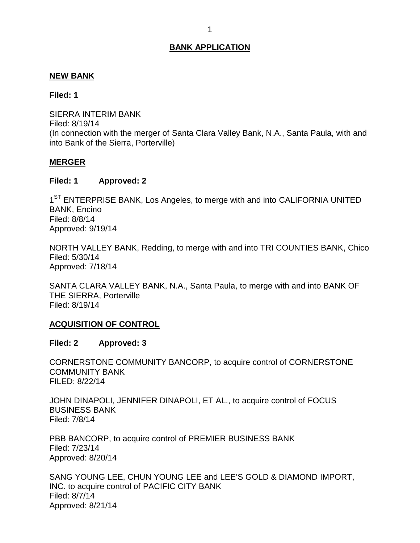#### <span id="page-1-0"></span>**NEW BANK**

#### **Filed: 1**

 SIERRA INTERIM BANK (In connection with the merger of Santa Clara Valley Bank, N.A., Santa Paula, with and into Bank of the Sierra, Porterville) Filed: 8/19/14

#### **MERGER**

#### **Filed: 1 Approved: 2**

1<sup>ST</sup> ENTERPRISE BANK, Los Angeles, to merge with and into CALIFORNIA UNITED BANK, Encino Filed: 8/8/14 Approved: 9/19/14

 NORTH VALLEY BANK, Redding, to merge with and into TRI COUNTIES BANK, Chico Filed: 5/30/14 Approved: 7/18/14

 SANTA CLARA VALLEY BANK, N.A., Santa Paula, to merge with and into BANK OF THE SIERRA, Porterville Filed: 8/19/14

#### **ACQUISITION OF CONTROL**

#### **Filed: 2 Approved: 3**

 CORNERSTONE COMMUNITY BANCORP, to acquire control of CORNERSTONE COMMUNITY BANK FILED: 8/22/14

 JOHN DINAPOLI, JENNIFER DINAPOLI, ET AL., to acquire control of FOCUS BUSINESS BANK Filed: 7/8/14

 PBB BANCORP, to acquire control of PREMIER BUSINESS BANK Filed: 7/23/14 Approved: 8/20/14

 SANG YOUNG LEE, CHUN YOUNG LEE and LEE'S GOLD & DIAMOND IMPORT, INC. to acquire control of PACIFIC CITY BANK Filed: 8/7/14 Approved: 8/21/14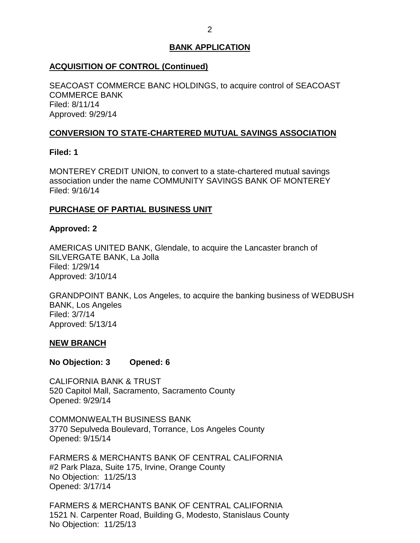## <span id="page-2-0"></span>**ACQUISITION OF CONTROL (Continued)**

 SEACOAST COMMERCE BANC HOLDINGS, to acquire control of SEACOAST COMMERCE BANK Filed: 8/11/14 Approved: 9/29/14

## **CONVERSION TO STATE-CHARTERED MUTUAL SAVINGS ASSOCIATION**

## **Filed: 1**

 MONTEREY CREDIT UNION, to convert to a state-chartered mutual savings association under the name COMMUNITY SAVINGS BANK OF MONTEREY Filed: 9/16/14

## **PURCHASE OF PARTIAL BUSINESS UNIT**

## **Approved: 2**

 AMERICAS UNITED BANK, Glendale, to acquire the Lancaster branch of SILVERGATE BANK, La Jolla Filed: 1/29/14 Approved: 3/10/14

 GRANDPOINT BANK, Los Angeles, to acquire the banking business of WEDBUSH BANK, Los Angeles Filed: 3/7/14 Approved: 5/13/14

## **NEW BRANCH**

**No Objection: 3 Opened: 6** 

 CALIFORNIA BANK & TRUST 520 Capitol Mall, Sacramento, Sacramento County Opened: 9/29/14

 3770 Sepulveda Boulevard, Torrance, Los Angeles County COMMONWEALTH BUSINESS BANK Opened: 9/15/14

 FARMERS & MERCHANTS BANK OF CENTRAL CALIFORNIA #2 Park Plaza, Suite 175, Irvine, Orange County No Objection: 11/25/13 Opened: 3/17/14

 FARMERS & MERCHANTS BANK OF CENTRAL CALIFORNIA 1521 N. Carpenter Road, Building G, Modesto, Stanislaus County No Objection: 11/25/13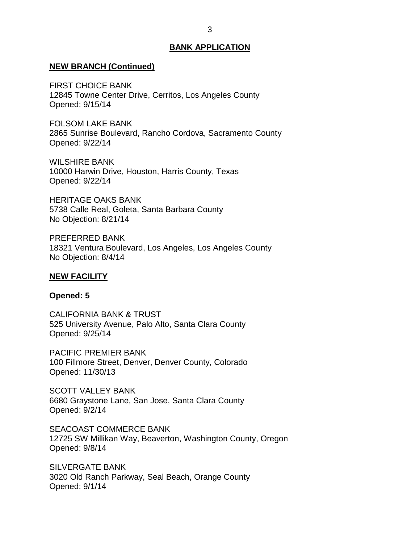#### <span id="page-3-0"></span>**NEW BRANCH (Continued)**

 FIRST CHOICE BANK 12845 Towne Center Drive, Cerritos, Los Angeles County Opened: 9/15/14

 FOLSOM LAKE BANK 2865 Sunrise Boulevard, Rancho Cordova, Sacramento County Opened: 9/22/14

 10000 Harwin Drive, Houston, Harris County, Texas WILSHIRE BANK Opened: 9/22/14

 HERITAGE OAKS BANK 5738 Calle Real, Goleta, Santa Barbara County No Objection: 8/21/14

 18321 Ventura Boulevard, Los Angeles, Los Angeles County No Objection: 8/4/14 PREFERRED BANK

#### **NEW FACILITY**

#### **Opened: 5**

 CALIFORNIA BANK & TRUST 525 University Avenue, Palo Alto, Santa Clara County Opened: 9/25/14

 100 Fillmore Street, Denver, Denver County, Colorado PACIFIC PREMIER BANK Opened: 11/30/13

 SCOTT VALLEY BANK 6680 Graystone Lane, San Jose, Santa Clara County Opened: 9/2/14

 12725 SW Millikan Way, Beaverton, Washington County, Oregon SEACOAST COMMERCE BANK Opened: 9/8/14

 3020 Old Ranch Parkway, Seal Beach, Orange County SILVERGATE BANK Opened: 9/1/14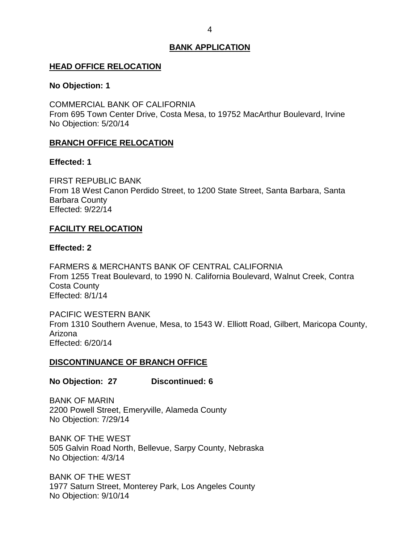#### <span id="page-4-0"></span>**HEAD OFFICE RELOCATION**

#### **No Objection: 1**

 COMMERCIAL BANK OF CALIFORNIA From 695 Town Center Drive, Costa Mesa, to 19752 MacArthur Boulevard, Irvine No Objection: 5/20/14

## **BRANCH OFFICE RELOCATION**

#### **Effected: 1**

 From 18 West Canon Perdido Street, to 1200 State Street, Santa Barbara, Santa FIRST REPUBLIC BANK Barbara County Effected: 9/22/14

## **FACILITY RELOCATION**

#### **Effected: 2**

 FARMERS & MERCHANTS BANK OF CENTRAL CALIFORNIA From 1255 Treat Boulevard, to 1990 N. California Boulevard, Walnut Creek, Contra Costa County Effected: 8/1/14

 From 1310 Southern Avenue, Mesa, to 1543 W. Elliott Road, Gilbert, Maricopa County, PACIFIC WESTERN BANK Arizona Effected: 6/20/14

#### **DISCONTINUANCE OF BRANCH OFFICE**

#### **No Objection: 27 Discontinued: 6**

 2200 Powell Street, Emeryville, Alameda County BANK OF MARIN No Objection: 7/29/14

 BANK OF THE WEST 505 Galvin Road North, Bellevue, Sarpy County, Nebraska No Objection: 4/3/14

 BANK OF THE WEST 1977 Saturn Street, Monterey Park, Los Angeles County No Objection: 9/10/14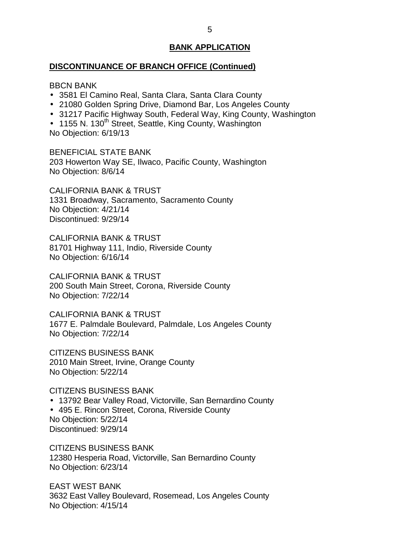#### **DISCONTINUANCE OF BRANCH OFFICE (Continued)**

#### BBCN BANK

- 3581 El Camino Real, Santa Clara, Santa Clara County
- 21080 Golden Spring Drive, Diamond Bar, Los Angeles County
- 31217 Pacific Highway South, Federal Way, King County, Washington

• 1155 N. 130<sup>th</sup> Street, Seattle, King County, Washington No Objection: 6/19/13

 BENEFICIAL STATE BANK 203 Howerton Way SE, Ilwaco, Pacific County, Washington No Objection: 8/6/14

 CALIFORNIA BANK & TRUST 1331 Broadway, Sacramento, Sacramento County No Objection: 4/21/14 Discontinued: 9/29/14

 CALIFORNIA BANK & TRUST 81701 Highway 111, Indio, Riverside County No Objection: 6/16/14

 CALIFORNIA BANK & TRUST 200 South Main Street, Corona, Riverside County No Objection: 7/22/14

 CALIFORNIA BANK & TRUST 1677 E. Palmdale Boulevard, Palmdale, Los Angeles County No Objection: 7/22/14

 CITIZENS BUSINESS BANK 2010 Main Street, Irvine, Orange County No Objection: 5/22/14

CITIZENS BUSINESS BANK

 13792 Bear Valley Road, Victorville, San Bernardino County 495 E. Rincon Street, Corona, Riverside County No Objection: 5/22/14 Discontinued: 9/29/14

 CITIZENS BUSINESS BANK 12380 Hesperia Road, Victorville, San Bernardino County No Objection: 6/23/14

 3632 East Valley Boulevard, Rosemead, Los Angeles County No Objection: 4/15/14 EAST WEST BANK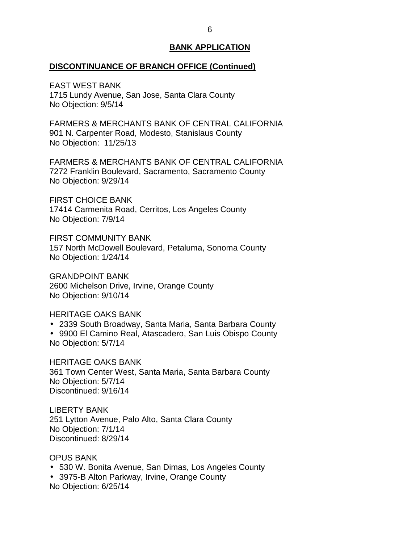## **DISCONTINUANCE OF BRANCH OFFICE (Continued)**

 1715 Lundy Avenue, San Jose, Santa Clara County No Objection: 9/5/14 EAST WEST BANK

 FARMERS & MERCHANTS BANK OF CENTRAL CALIFORNIA 901 N. Carpenter Road, Modesto, Stanislaus County No Objection: 11/25/13

 FARMERS & MERCHANTS BANK OF CENTRAL CALIFORNIA 7272 Franklin Boulevard, Sacramento, Sacramento County No Objection: 9/29/14

 FIRST CHOICE BANK 17414 Carmenita Road, Cerritos, Los Angeles County No Objection: 7/9/14

 157 North McDowell Boulevard, Petaluma, Sonoma County FIRST COMMUNITY BANK No Objection: 1/24/14

 2600 Michelson Drive, Irvine, Orange County No Objection: 9/10/14 GRANDPOINT BANK

#### HERITAGE OAKS BANK

- 2339 South Broadway, Santa Maria, Santa Barbara County
- 9900 El Camino Real, Atascadero, San Luis Obispo County No Objection: 5/7/14

 HERITAGE OAKS BANK 361 Town Center West, Santa Maria, Santa Barbara County No Objection: 5/7/14 Discontinued: 9/16/14

 251 Lytton Avenue, Palo Alto, Santa Clara County No Objection: 7/1/14 LIBERTY BANK Discontinued: 8/29/14

#### OPUS BANK

- 530 W. Bonita Avenue, San Dimas, Los Angeles County
- 3975-B Alton Parkway, Irvine, Orange County No Objection: 6/25/14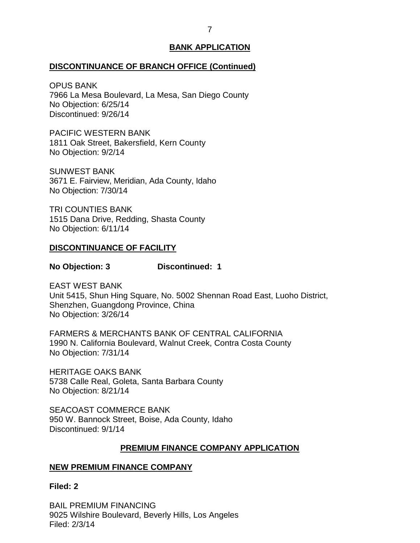#### <span id="page-7-0"></span>**DISCONTINUANCE OF BRANCH OFFICE (Continued)**

 7966 La Mesa Boulevard, La Mesa, San Diego County No Objection: 6/25/14 OPUS BANK Discontinued: 9/26/14

 1811 Oak Street, Bakersfield, Kern County No Objection: 9/2/14 PACIFIC WESTERN BANK

 3671 E. Fairview, Meridian, Ada County, Idaho No Objection: 7/30/14 SUNWEST BANK

 1515 Dana Drive, Redding, Shasta County No Objection: 6/11/14 TRI COUNTIES BANK

#### **DISCONTINUANCE OF FACILITY**

#### **No Objection: 3 Discontinued: 1**

 Unit 5415, Shun Hing Square, No. 5002 Shennan Road East, Luoho District, Shenzhen, Guangdong Province, China No Objection: 3/26/14 EAST WEST BANK

 FARMERS & MERCHANTS BANK OF CENTRAL CALIFORNIA 1990 N. California Boulevard, Walnut Creek, Contra Costa County No Objection: 7/31/14

 HERITAGE OAKS BANK 5738 Calle Real, Goleta, Santa Barbara County No Objection: 8/21/14

 950 W. Bannock Street, Boise, Ada County, Idaho SEACOAST COMMERCE BANK Discontinued: 9/1/14

## **PREMIUM FINANCE COMPANY APPLICATION**

## **NEW PREMIUM FINANCE COMPANY**

**Filed: 2** 

 BAIL PREMIUM FINANCING 9025 Wilshire Boulevard, Beverly Hills, Los Angeles Filed: 2/3/14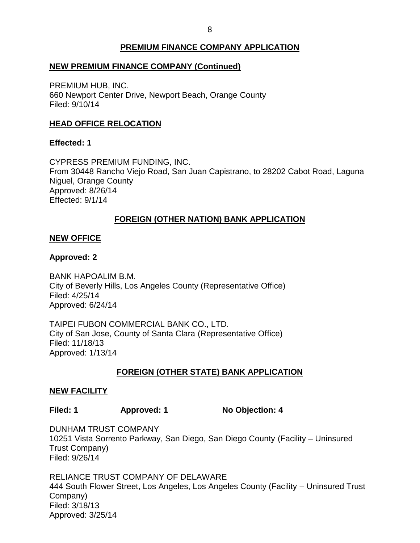## **PREMIUM FINANCE COMPANY APPLICATION**

## <span id="page-8-0"></span> **NEW PREMIUM FINANCE COMPANY (Continued)**

 PREMIUM HUB, INC. 660 Newport Center Drive, Newport Beach, Orange County Filed: 9/10/14

## **HEAD OFFICE RELOCATION**

## **Effected: 1**

 CYPRESS PREMIUM FUNDING, INC. From 30448 Rancho Viejo Road, San Juan Capistrano, to 28202 Cabot Road, Laguna Niguel, Orange County Approved: 8/26/14 Effected: 9/1/14

## **FOREIGN (OTHER NATION) BANK APPLICATION**

## **NEW OFFICE**

## **Approved: 2**

 City of Beverly Hills, Los Angeles County (Representative Office) BANK HAPOALIM B.M. Filed: 4/25/14 Approved: 6/24/14

 TAIPEI FUBON COMMERCIAL BANK CO., LTD. City of San Jose, County of Santa Clara (Representative Office) Filed: 11/18/13 Approved: 1/13/14

## **FOREIGN (OTHER STATE) BANK APPLICATION**

## **NEW FACILITY**

Filed: 1 **Approved: 1** No Objection: 4

 DUNHAM TRUST COMPANY 10251 Vista Sorrento Parkway, San Diego, San Diego County (Facility – Uninsured Trust Company) Filed: 9/26/14

 RELIANCE TRUST COMPANY OF DELAWARE 444 South Flower Street, Los Angeles, Los Angeles County (Facility – Uninsured Trust Company) Filed: 3/18/13 Approved: 3/25/14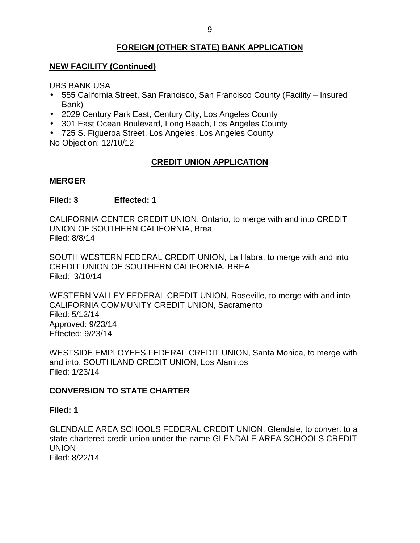## **FOREIGN (OTHER STATE) BANK APPLICATION**

## <span id="page-9-0"></span> **NEW FACILITY (Continued)**

UBS BANK USA

- 555 California Street, San Francisco, San Francisco County (Facility Insured Bank)
- 2029 Century Park East, Century City, Los Angeles County
- 301 East Ocean Boulevard, Long Beach, Los Angeles County
- 725 S. Figueroa Street, Los Angeles, Los Angeles County

No Objection: 12/10/12

## **CREDIT UNION APPLICATION**

## **MERGER**

## **Filed: 3 Effected: 1**

 CALIFORNIA CENTER CREDIT UNION, Ontario, to merge with and into CREDIT UNION OF SOUTHERN CALIFORNIA, Brea Filed: 8/8/14

 SOUTH WESTERN FEDERAL CREDIT UNION, La Habra, to merge with and into Filed: 3/10/14 CREDIT UNION OF SOUTHERN CALIFORNIA, BREA

 WESTERN VALLEY FEDERAL CREDIT UNION, Roseville, to merge with and into CALIFORNIA COMMUNITY CREDIT UNION, Sacramento Filed: 5/12/14 Approved: 9/23/14 Effected: 9/23/14

 WESTSIDE EMPLOYEES FEDERAL CREDIT UNION, Santa Monica, to merge with and into, SOUTHLAND CREDIT UNION, Los Alamitos Filed: 1/23/14

## **CONVERSION TO STATE CHARTER**

## **Filed: 1**

 GLENDALE AREA SCHOOLS FEDERAL CREDIT UNION, Glendale, to convert to a state-chartered credit union under the name GLENDALE AREA SCHOOLS CREDIT UNION Filed: 8/22/14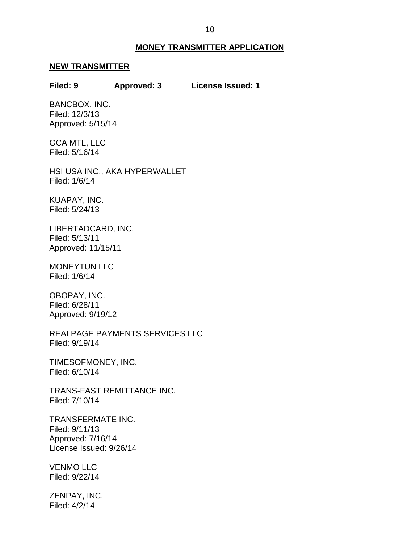#### **MONEY TRANSMITTER APPLICATION**

#### <span id="page-10-0"></span>**NEW TRANSMITTER**

## **Filed: 9 Approved: 3 License Issued: 1**

BANCBOX, INC. Filed: 12/3/13 Approved: 5/15/14

 GCA MTL, LLC Filed: 5/16/14

 HSI USA INC., AKA HYPERWALLET Filed: 1/6/14

KUAPAY, INC. Filed: 5/24/13

LIBERTADCARD, INC. Filed: 5/13/11 Approved: 11/15/11

MONEYTUN LLC Filed: 1/6/14

OBOPAY, INC. Filed: 6/28/11 Approved: 9/19/12

REALPAGE PAYMENTS SERVICES LLC Filed: 9/19/14

TIMESOFMONEY, INC. Filed: 6/10/14

TRANS-FAST REMITTANCE INC. Filed: 7/10/14

 License Issued: 9/26/14 TRANSFERMATE INC. Filed: 9/11/13 Approved: 7/16/14

VENMO LLC Filed: 9/22/14

ZENPAY, INC. Filed: 4/2/14